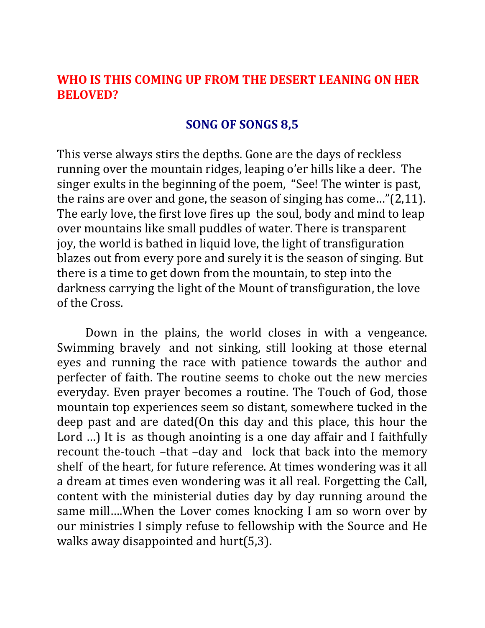## **WHO IS THIS COMING UP FROM THE DESERT LEANING ON HER BELOVED?**

## **SONG OF SONGS 8,5**

This verse always stirs the depths. Gone are the days of reckless running over the mountain ridges, leaping o'er hills like a deer. The singer exults in the beginning of the poem, "See! The winter is past, the rains are over and gone, the season of singing has come…"(2,11). The early love, the first love fires up the soul, body and mind to leap over mountains like small puddles of water. There is transparent joy, the world is bathed in liquid love, the light of transfiguration blazes out from every pore and surely it is the season of singing. But there is a time to get down from the mountain, to step into the darkness carrying the light of the Mount of transfiguration, the love of the Cross.

Down in the plains, the world closes in with a vengeance. Swimming bravely and not sinking, still looking at those eternal eyes and running the race with patience towards the author and perfecter of faith. The routine seems to choke out the new mercies everyday. Even prayer becomes a routine. The Touch of God, those mountain top experiences seem so distant, somewhere tucked in the deep past and are dated(On this day and this place, this hour the Lord ...) It is as though anointing is a one day affair and I faithfully recount the-touch –that –day and lock that back into the memory shelf of the heart, for future reference. At times wondering was it all a dream at times even wondering was it all real. Forgetting the Call, content with the ministerial duties day by day running around the same mill….When the Lover comes knocking I am so worn over by our ministries I simply refuse to fellowship with the Source and He walks away disappointed and hurt(5,3).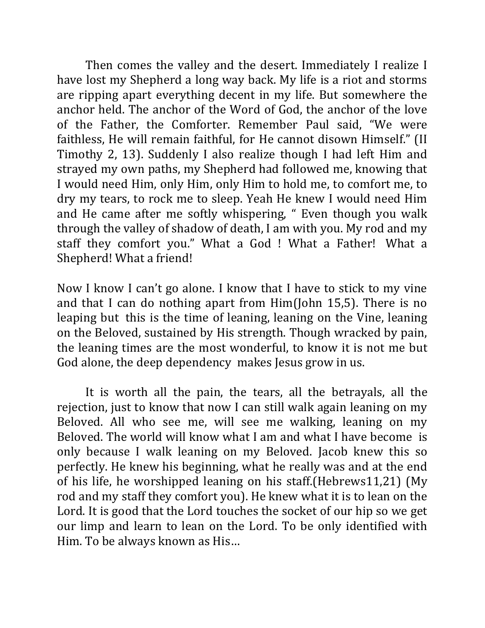Then comes the valley and the desert. Immediately I realize I have lost my Shepherd a long way back. My life is a riot and storms are ripping apart everything decent in my life. But somewhere the anchor held. The anchor of the Word of God, the anchor of the love of the Father, the Comforter. Remember Paul said, "We were faithless, He will remain faithful, for He cannot disown Himself." (II Timothy 2, 13). Suddenly I also realize though I had left Him and strayed my own paths, my Shepherd had followed me, knowing that I would need Him, only Him, only Him to hold me, to comfort me, to dry my tears, to rock me to sleep. Yeah He knew I would need Him and He came after me softly whispering, " Even though you walk through the valley of shadow of death, I am with you. My rod and my staff they comfort you." What a God ! What a Father! What a Shepherd! What a friend!

Now I know I can't go alone. I know that I have to stick to my vine and that I can do nothing apart from Him(John 15,5). There is no leaping but this is the time of leaning, leaning on the Vine, leaning on the Beloved, sustained by His strength. Though wracked by pain, the leaning times are the most wonderful, to know it is not me but God alone, the deep dependency makes Jesus grow in us.

It is worth all the pain, the tears, all the betrayals, all the rejection, just to know that now I can still walk again leaning on my Beloved. All who see me, will see me walking, leaning on my Beloved. The world will know what I am and what I have become is only because I walk leaning on my Beloved. Jacob knew this so perfectly. He knew his beginning, what he really was and at the end of his life, he worshipped leaning on his staff.(Hebrews11,21) (My rod and my staff they comfort you). He knew what it is to lean on the Lord. It is good that the Lord touches the socket of our hip so we get our limp and learn to lean on the Lord. To be only identified with Him. To be always known as His…